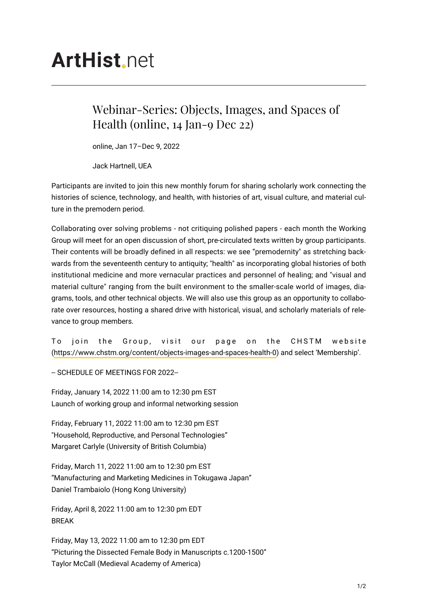## **ArtHist**, net

## Webinar-Series: Objects, Images, and Spaces of Health (online, 14 Jan-9 Dec 22)

online, Jan 17–Dec 9, 2022

Jack Hartnell, UEA

Participants are invited to join this new monthly forum for sharing scholarly work connecting the histories of science, technology, and health, with histories of art, visual culture, and material culture in the premodern period.

Collaborating over solving problems - not critiquing polished papers - each month the Working Group will meet for an open discussion of short, pre-circulated texts written by group participants. Their contents will be broadly defined in all respects: we see "premodernity" as stretching backwards from the seventeenth century to antiquity; "health" as incorporating global histories of both institutional medicine and more vernacular practices and personnel of healing; and "visual and material culture" ranging from the built environment to the smaller-scale world of images, diagrams, tools, and other technical objects. We will also use this group as an opportunity to collaborate over resources, hosting a shared drive with historical, visual, and scholarly materials of relevance to group members.

To join the Group, visit our page on the CHSTM website [\(https://www.chstm.org/content/objects-images-and-spaces-health-0\)](https://www.chstm.org/content/objects-images-and-spaces-health-0) and select 'Membership'.

-- SCHEDULE OF MEETINGS FOR 2022--

Friday, January 14, 2022 11:00 am to 12:30 pm EST Launch of working group and informal networking session

Friday, February 11, 2022 11:00 am to 12:30 pm EST "Household, Reproductive, and Personal Technologies" Margaret Carlyle (University of British Columbia)

Friday, March 11, 2022 11:00 am to 12:30 pm EST "Manufacturing and Marketing Medicines in Tokugawa Japan" Daniel Trambaiolo (Hong Kong University)

Friday, April 8, 2022 11:00 am to 12:30 pm EDT BREAK

Friday, May 13, 2022 11:00 am to 12:30 pm EDT "Picturing the Dissected Female Body in Manuscripts c.1200-1500" Taylor McCall (Medieval Academy of America)